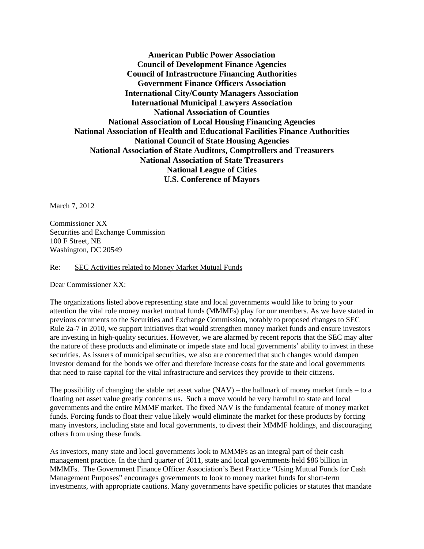**American Public Power Association Council of Development Finance Agencies Council of Infrastructure Financing Authorities Government Finance Officers Association International City/County Managers Association International Municipal Lawyers Association National Association of Counties National Association of Local Housing Financing Agencies National Association of Health and Educational Facilities Finance Authorities National Council of State Housing Agencies National Association of State Auditors, Comptrollers and Treasurers National Association of State Treasurers National League of Cities U.S. Conference of Mayors** 

March 7, 2012

Commissioner XX Securities and Exchange Commission 100 F Street, NE Washington, DC 20549

Re: SEC Activities related to Money Market Mutual Funds

Dear Commissioner XX:

The organizations listed above representing state and local governments would like to bring to your attention the vital role money market mutual funds (MMMFs) play for our members. As we have stated in previous comments to the Securities and Exchange Commission, notably to proposed changes to SEC Rule 2a-7 in 2010, we support initiatives that would strengthen money market funds and ensure investors are investing in high-quality securities. However, we are alarmed by recent reports that the SEC may alter the nature of these products and eliminate or impede state and local governments' ability to invest in these securities. As issuers of municipal securities, we also are concerned that such changes would dampen investor demand for the bonds we offer and therefore increase costs for the state and local governments that need to raise capital for the vital infrastructure and services they provide to their citizens.

The possibility of changing the stable net asset value  $(NAV)$  – the hallmark of money market funds – to a floating net asset value greatly concerns us. Such a move would be very harmful to state and local governments and the entire MMMF market. The fixed NAV is the fundamental feature of money market funds. Forcing funds to float their value likely would eliminate the market for these products by forcing many investors, including state and local governments, to divest their MMMF holdings, and discouraging others from using these funds.

As investors, many state and local governments look to MMMFs as an integral part of their cash management practice. In the third quarter of 2011, state and local governments held \$86 billion in MMMFs. The Government Finance Officer Association's Best Practice "Using Mutual Funds for Cash Management Purposes" encourages governments to look to money market funds for short-term investments, with appropriate cautions. Many governments have specific policies or statutes that mandate